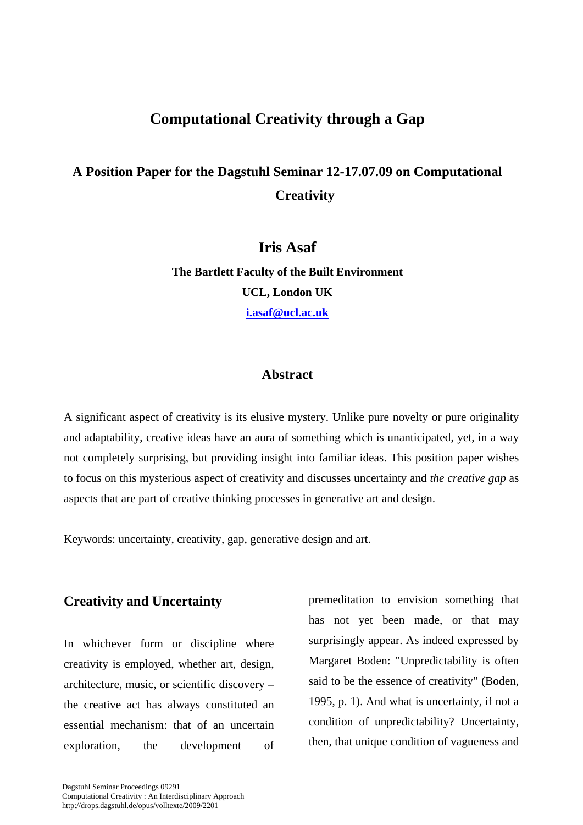# **Computational Creativity through a Gap**

# **A Position Paper for the Dagstuhl Seminar 12-17.07.09 on Computational Creativity**

## **Iris Asaf**

**The Bartlett Faculty of the Built Environment UCL, London UK i.asaf@ucl.ac.uk**

### **Abstract**

A significant aspect of creativity is its elusive mystery. Unlike pure novelty or pure originality and adaptability, creative ideas have an aura of something which is unanticipated, yet, in a way not completely surprising, but providing insight into familiar ideas. This position paper wishes to focus on this mysterious aspect of creativity and discusses uncertainty and *the creative gap* as aspects that are part of creative thinking processes in generative art and design.

Keywords: uncertainty, creativity, gap, generative design and art.

### **Creativity and Uncertainty**

In whichever form or discipline where creativity is employed, whether art, design, architecture, music, or scientific discovery – the creative act has always constituted an essential mechanism: that of an uncertain exploration, the development of premeditation to envision something that has not yet been made, or that may surprisingly appear. As indeed expressed by Margaret Boden: "Unpredictability is often said to be the essence of creativity" (Boden, 1995, p. 1). And what is uncertainty, if not a condition of unpredictability? Uncertainty, then, that unique condition of vagueness and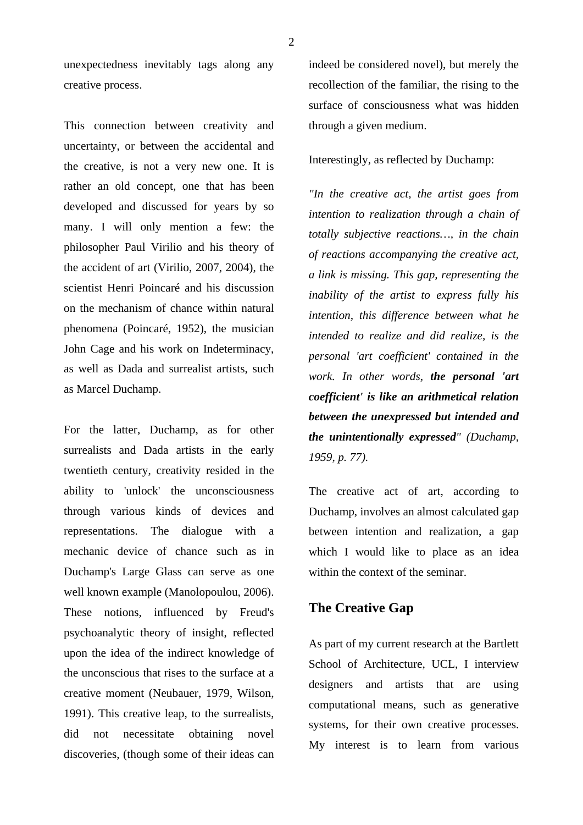unexpectedness inevitably tags along any creative process.

This connection between creativity and uncertainty, or between the accidental and the creative, is not a very new one. It is rather an old concept, one that has been developed and discussed for years by so many. I will only mention a few: the philosopher Paul Virilio and his theory of the accident of art (Virilio, 2007, 2004), the scientist Henri Poincaré and his discussion on the mechanism of chance within natural phenomena (Poincaré, 1952), the musician John Cage and his work on Indeterminacy, as well as Dada and surrealist artists, such as Marcel Duchamp.

For the latter, Duchamp, as for other surrealists and Dada artists in the early twentieth century, creativity resided in the ability to 'unlock' the unconsciousness through various kinds of devices and representations. The dialogue with a mechanic device of chance such as in Duchamp's Large Glass can serve as one well known example (Manolopoulou, 2006). These notions, influenced by Freud's psychoanalytic theory of insight, reflected upon the idea of the indirect knowledge of the unconscious that rises to the surface at a creative moment (Neubauer, 1979, Wilson, 1991). This creative leap, to the surrealists, did not necessitate obtaining novel discoveries, (though some of their ideas can

indeed be considered novel), but merely the recollection of the familiar, the rising to the surface of consciousness what was hidden through a given medium.

#### Interestingly, as reflected by Duchamp:

*"In the creative act, the artist goes from intention to realization through a chain of totally subjective reactions…, in the chain of reactions accompanying the creative act, a link is missing. This gap, representing the inability of the artist to express fully his intention, this difference between what he intended to realize and did realize, is the personal 'art coefficient' contained in the work. In other words, the personal 'art coefficient' is like an arithmetical relation between the unexpressed but intended and the unintentionally expressed" (Duchamp, 1959, p. 77).* 

The creative act of art, according to Duchamp, involves an almost calculated gap between intention and realization, a gap which I would like to place as an idea within the context of the seminar.

### **The Creative Gap**

As part of my current research at the Bartlett School of Architecture, UCL, I interview designers and artists that are using computational means, such as generative systems, for their own creative processes. My interest is to learn from various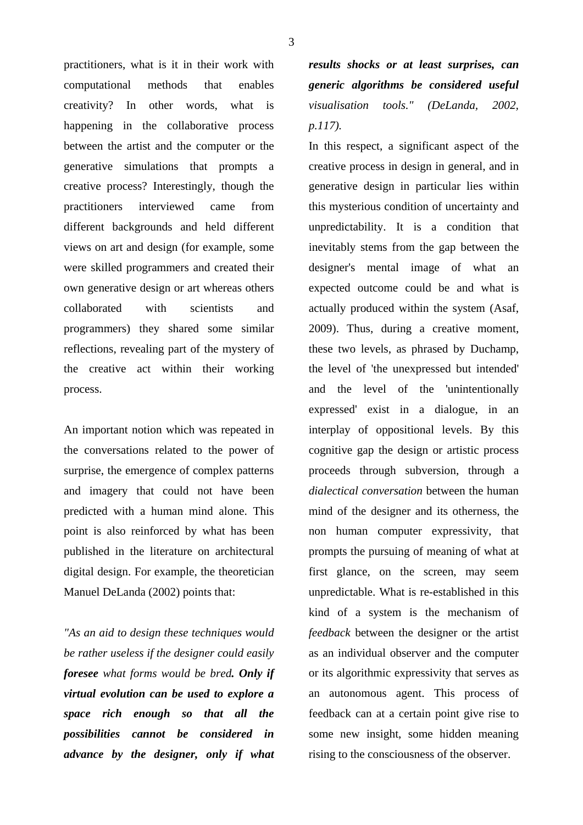practitioners, what is it in their work with computational methods that enables creativity? In other words, what is happening in the collaborative process between the artist and the computer or the generative simulations that prompts a creative process? Interestingly, though the practitioners interviewed came from different backgrounds and held different views on art and design (for example, some were skilled programmers and created their own generative design or art whereas others collaborated with scientists and programmers) they shared some similar reflections, revealing part of the mystery of the creative act within their working process.

An important notion which was repeated in the conversations related to the power of surprise, the emergence of complex patterns and imagery that could not have been predicted with a human mind alone. This point is also reinforced by what has been published in the literature on architectural digital design. For example, the theoretician Manuel DeLanda (2002) points that:

*"As an aid to design these techniques would be rather useless if the designer could easily foresee what forms would be bred. Only if virtual evolution can be used to explore a space rich enough so that all the possibilities cannot be considered in advance by the designer, only if what* 

*results shocks or at least surprises, can generic algorithms be considered useful visualisation tools." (DeLanda, 2002, p.117).* 

In this respect, a significant aspect of the creative process in design in general, and in generative design in particular lies within this mysterious condition of uncertainty and unpredictability. It is a condition that inevitably stems from the gap between the designer's mental image of what an expected outcome could be and what is actually produced within the system (Asaf, 2009). Thus, during a creative moment, these two levels, as phrased by Duchamp, the level of 'the unexpressed but intended' and the level of the 'unintentionally expressed' exist in a dialogue, in an interplay of oppositional levels. By this cognitive gap the design or artistic process proceeds through subversion, through a *dialectical conversation* between the human mind of the designer and its otherness, the non human computer expressivity, that prompts the pursuing of meaning of what at first glance, on the screen, may seem unpredictable. What is re-established in this kind of a system is the mechanism of *feedback* between the designer or the artist as an individual observer and the computer or its algorithmic expressivity that serves as an autonomous agent. This process of feedback can at a certain point give rise to some new insight, some hidden meaning rising to the consciousness of the observer.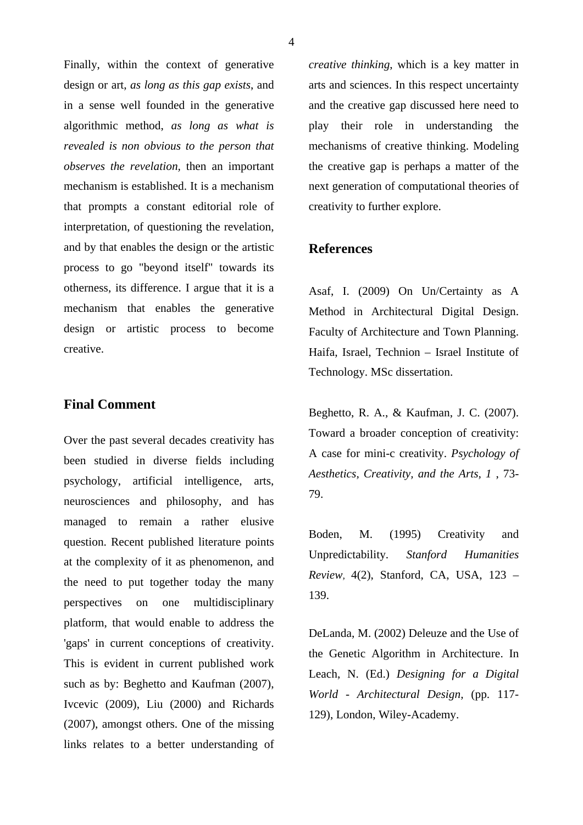Finally, within the context of generative design or art, *as long as this gap exists*, and in a sense well founded in the generative algorithmic method, *as long as what is revealed is non obvious to the person that observes the revelation,* then an important mechanism is established. It is a mechanism that prompts a constant editorial role of interpretation, of questioning the revelation, and by that enables the design or the artistic process to go "beyond itself" towards its otherness, its difference. I argue that it is a mechanism that enables the generative design or artistic process to become creative.

#### **Final Comment**

Over the past several decades creativity has been studied in diverse fields including psychology, artificial intelligence, arts, neurosciences and philosophy, and has managed to remain a rather elusive question. Recent published literature points at the complexity of it as phenomenon, and the need to put together today the many perspectives on one multidisciplinary platform, that would enable to address the 'gaps' in current conceptions of creativity. This is evident in current published work such as by: Beghetto and Kaufman (2007), Ivcevic (2009), Liu (2000) and Richards (2007), amongst others. One of the missing links relates to a better understanding of

*creative thinking*, which is a key matter in arts and sciences. In this respect uncertainty and the creative gap discussed here need to play their role in understanding the mechanisms of creative thinking. Modeling the creative gap is perhaps a matter of the next generation of computational theories of creativity to further explore.

#### **References**

Asaf, I. (2009) On Un/Certainty as A Method in Architectural Digital Design. Faculty of Architecture and Town Planning. Haifa, Israel, Technion – Israel Institute of Technology. MSc dissertation.

Beghetto, R. A., & Kaufman, J. C. (2007). Toward a broader conception of creativity: A case for mini-c creativity. *Psychology of Aesthetics, Creativity, and the Arts, 1* , 73- 79.

Boden, M. (1995) Creativity and Unpredictability. *Stanford Humanities Review,* 4(2), Stanford, CA, USA, 123 – 139.

DeLanda, M. (2002) Deleuze and the Use of the Genetic Algorithm in Architecture. In Leach, N. (Ed.) *Designing for a Digital World - Architectural Design,* (pp. 117- 129), London, Wiley-Academy.